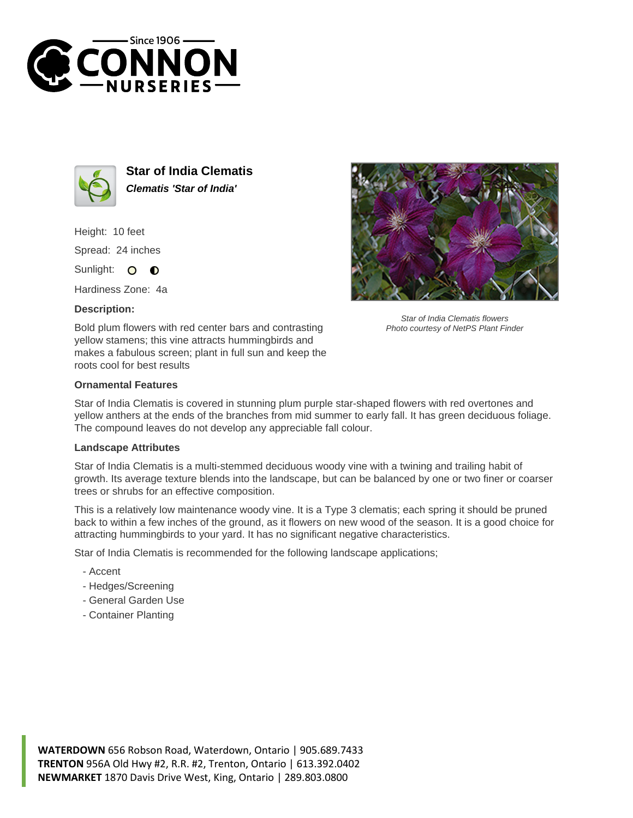



**Star of India Clematis Clematis 'Star of India'**

Height: 10 feet Spread: 24 inches Sunlight: O  $\bullet$ 

Hardiness Zone: 4a

## **Description:**





Star of India Clematis flowers Photo courtesy of NetPS Plant Finder

## **Ornamental Features**

Star of India Clematis is covered in stunning plum purple star-shaped flowers with red overtones and yellow anthers at the ends of the branches from mid summer to early fall. It has green deciduous foliage. The compound leaves do not develop any appreciable fall colour.

## **Landscape Attributes**

Star of India Clematis is a multi-stemmed deciduous woody vine with a twining and trailing habit of growth. Its average texture blends into the landscape, but can be balanced by one or two finer or coarser trees or shrubs for an effective composition.

This is a relatively low maintenance woody vine. It is a Type 3 clematis; each spring it should be pruned back to within a few inches of the ground, as it flowers on new wood of the season. It is a good choice for attracting hummingbirds to your yard. It has no significant negative characteristics.

Star of India Clematis is recommended for the following landscape applications;

- Accent
- Hedges/Screening
- General Garden Use
- Container Planting

**WATERDOWN** 656 Robson Road, Waterdown, Ontario | 905.689.7433 **TRENTON** 956A Old Hwy #2, R.R. #2, Trenton, Ontario | 613.392.0402 **NEWMARKET** 1870 Davis Drive West, King, Ontario | 289.803.0800